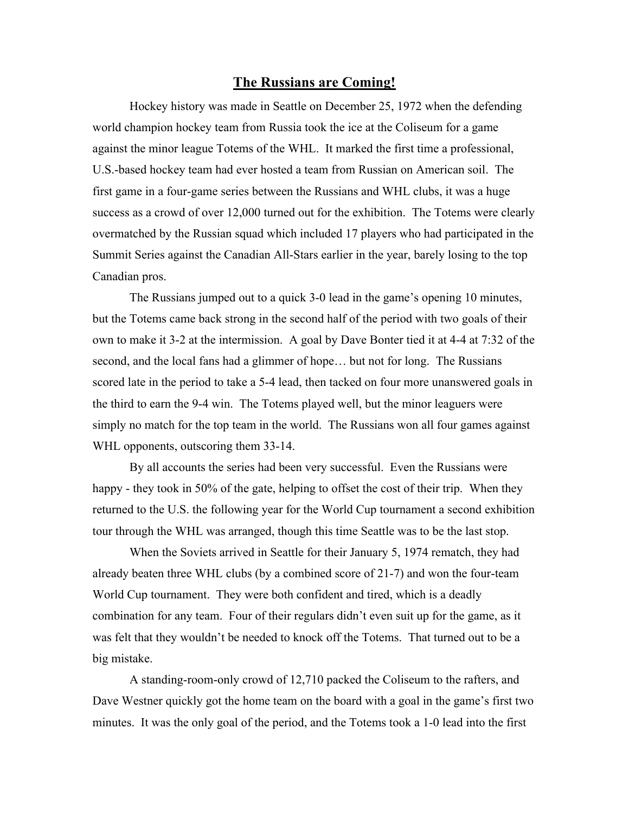## **The Russians are Coming!**

Hockey history was made in Seattle on December 25, 1972 when the defending world champion hockey team from Russia took the ice at the Coliseum for a game against the minor league Totems of the WHL. It marked the first time a professional, U.S.-based hockey team had ever hosted a team from Russian on American soil. The first game in a four-game series between the Russians and WHL clubs, it was a huge success as a crowd of over 12,000 turned out for the exhibition. The Totems were clearly overmatched by the Russian squad which included 17 players who had participated in the Summit Series against the Canadian All-Stars earlier in the year, barely losing to the top Canadian pros.

The Russians jumped out to a quick 3-0 lead in the game's opening 10 minutes, but the Totems came back strong in the second half of the period with two goals of their own to make it 3-2 at the intermission. A goal by Dave Bonter tied it at 4-4 at 7:32 of the second, and the local fans had a glimmer of hope… but not for long. The Russians scored late in the period to take a 5-4 lead, then tacked on four more unanswered goals in the third to earn the 9-4 win. The Totems played well, but the minor leaguers were simply no match for the top team in the world. The Russians won all four games against WHL opponents, outscoring them 33-14.

By all accounts the series had been very successful. Even the Russians were happy - they took in 50% of the gate, helping to offset the cost of their trip. When they returned to the U.S. the following year for the World Cup tournament a second exhibition tour through the WHL was arranged, though this time Seattle was to be the last stop.

When the Soviets arrived in Seattle for their January 5, 1974 rematch, they had already beaten three WHL clubs (by a combined score of 21-7) and won the four-team World Cup tournament. They were both confident and tired, which is a deadly combination for any team. Four of their regulars didn't even suit up for the game, as it was felt that they wouldn't be needed to knock off the Totems. That turned out to be a big mistake.

A standing-room-only crowd of 12,710 packed the Coliseum to the rafters, and Dave Westner quickly got the home team on the board with a goal in the game's first two minutes. It was the only goal of the period, and the Totems took a 1-0 lead into the first